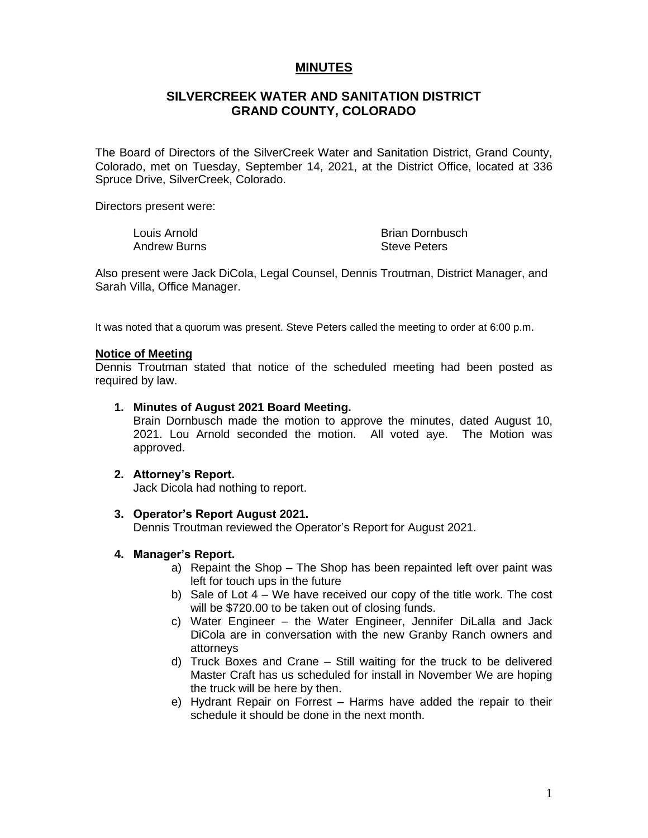# **MINUTES**

# **SILVERCREEK WATER AND SANITATION DISTRICT GRAND COUNTY, COLORADO**

The Board of Directors of the SilverCreek Water and Sanitation District, Grand County, Colorado, met on Tuesday, September 14, 2021, at the District Office, located at 336 Spruce Drive, SilverCreek, Colorado.

Directors present were:

Louis Arnold Andrew Burns Brian Dornbusch Steve Peters

Also present were Jack DiCola, Legal Counsel, Dennis Troutman, District Manager, and Sarah Villa, Office Manager.

It was noted that a quorum was present. Steve Peters called the meeting to order at 6:00 p.m.

## **Notice of Meeting**

Dennis Troutman stated that notice of the scheduled meeting had been posted as required by law.

#### **1. Minutes of August 2021 Board Meeting.**

Brain Dornbusch made the motion to approve the minutes, dated August 10, 2021. Lou Arnold seconded the motion. All voted aye. The Motion was approved.

## **2. Attorney's Report.**

Jack Dicola had nothing to report.

## **3. Operator's Report August 2021.**

Dennis Troutman reviewed the Operator's Report for August 2021.

## **4. Manager's Report.**

- a) Repaint the Shop The Shop has been repainted left over paint was left for touch ups in the future
- b) Sale of Lot 4 We have received our copy of the title work. The cost will be \$720.00 to be taken out of closing funds.
- c) Water Engineer the Water Engineer, Jennifer DiLalla and Jack DiCola are in conversation with the new Granby Ranch owners and attorneys
- d) Truck Boxes and Crane Still waiting for the truck to be delivered Master Craft has us scheduled for install in November We are hoping the truck will be here by then.
- e) Hydrant Repair on Forrest Harms have added the repair to their schedule it should be done in the next month.